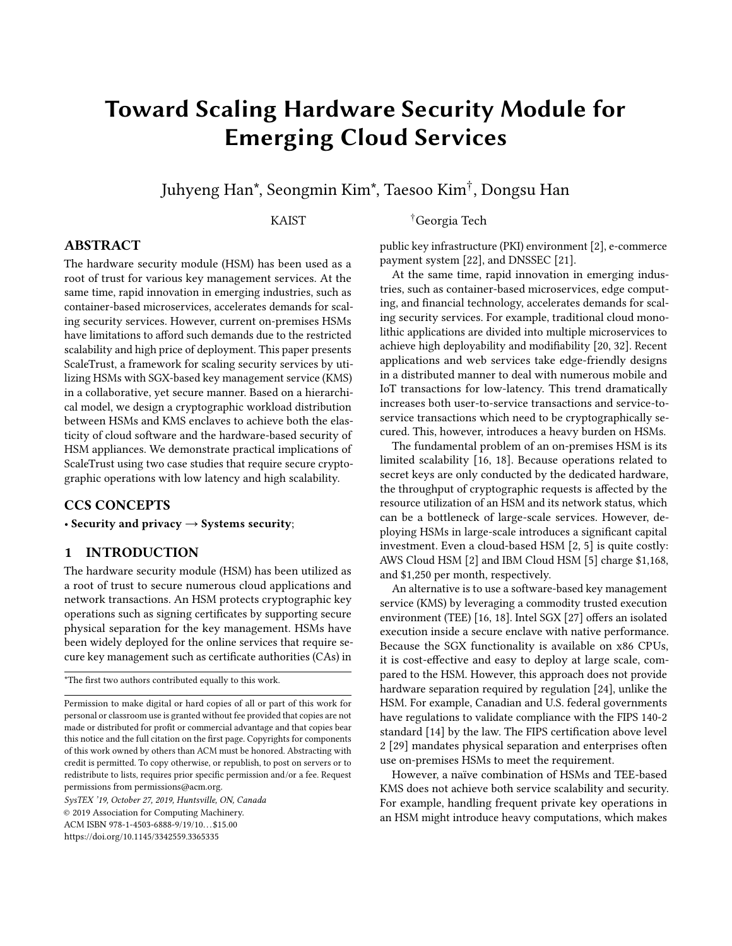# Toward Scaling Hardware Security Module for Emerging Cloud Services

Juhyeng Han\*, Seongmin Kim\*, Taesoo Kim† , Dongsu Han

KAIST <sup>†</sup>Georgia Tech

# ABSTRACT

The hardware security module (HSM) has been used as a root of trust for various key management services. At the same time, rapid innovation in emerging industries, such as container-based microservices, accelerates demands for scaling security services. However, current on-premises HSMs have limitations to afford such demands due to the restricted scalability and high price of deployment. This paper presents ScaleTrust, a framework for scaling security services by utilizing HSMs with SGX-based key management service (KMS) in a collaborative, yet secure manner. Based on a hierarchical model, we design a cryptographic workload distribution between HSMs and KMS enclaves to achieve both the elasticity of cloud software and the hardware-based security of HSM appliances. We demonstrate practical implications of ScaleTrust using two case studies that require secure cryptographic operations with low latency and high scalability.

# CCS CONCEPTS

• Security and privacy  $\rightarrow$  Systems security;

#### 1 INTRODUCTION

The hardware security module (HSM) has been utilized as a root of trust to secure numerous cloud applications and network transactions. An HSM protects cryptographic key operations such as signing certificates by supporting secure physical separation for the key management. HSMs have been widely deployed for the online services that require secure key management such as certificate authorities (CAs) in

\*The first two authors contributed equally to this work.

SysTEX '19, October 27, 2019, Huntsville, ON, Canada © 2019 Association for Computing Machinery. ACM ISBN 978-1-4503-6888-9/19/10...\$15.00

<https://doi.org/10.1145/3342559.3365335>

public key infrastructure (PKI) environment [\[2\]](#page-5-0), e-commerce payment system [\[22\]](#page-5-1), and DNSSEC [\[21\]](#page-5-2).

At the same time, rapid innovation in emerging industries, such as container-based microservices, edge computing, and financial technology, accelerates demands for scaling security services. For example, traditional cloud monolithic applications are divided into multiple microservices to achieve high deployability and modifiability [\[20,](#page-5-3) [32\]](#page-5-4). Recent applications and web services take edge-friendly designs in a distributed manner to deal with numerous mobile and IoT transactions for low-latency. This trend dramatically increases both user-to-service transactions and service-toservice transactions which need to be cryptographically secured. This, however, introduces a heavy burden on HSMs.

The fundamental problem of an on-premises HSM is its limited scalability [\[16,](#page-5-5) [18\]](#page-5-6). Because operations related to secret keys are only conducted by the dedicated hardware, the throughput of cryptographic requests is affected by the resource utilization of an HSM and its network status, which can be a bottleneck of large-scale services. However, deploying HSMs in large-scale introduces a significant capital investment. Even a cloud-based HSM [\[2,](#page-5-0) [5\]](#page-5-7) is quite costly: AWS Cloud HSM [\[2\]](#page-5-0) and IBM Cloud HSM [\[5\]](#page-5-7) charge \$1,168, and \$1,250 per month, respectively.

An alternative is to use a software-based key management service (KMS) by leveraging a commodity trusted execution environment (TEE) [\[16,](#page-5-5) [18\]](#page-5-6). Intel SGX [\[27\]](#page-5-8) offers an isolated execution inside a secure enclave with native performance. Because the SGX functionality is available on x86 CPUs, it is cost-effective and easy to deploy at large scale, compared to the HSM. However, this approach does not provide hardware separation required by regulation [\[24\]](#page-5-9), unlike the HSM. For example, Canadian and U.S. federal governments have regulations to validate compliance with the FIPS 140-2 standard [\[14\]](#page-5-10) by the law. The FIPS certification above level 2 [\[29\]](#page-5-11) mandates physical separation and enterprises often use on-premises HSMs to meet the requirement.

However, a naïve combination of HSMs and TEE-based KMS does not achieve both service scalability and security. For example, handling frequent private key operations in an HSM might introduce heavy computations, which makes

Permission to make digital or hard copies of all or part of this work for personal or classroom use is granted without fee provided that copies are not made or distributed for profit or commercial advantage and that copies bear this notice and the full citation on the first page. Copyrights for components of this work owned by others than ACM must be honored. Abstracting with credit is permitted. To copy otherwise, or republish, to post on servers or to redistribute to lists, requires prior specific permission and/or a fee. Request permissions from permissions@acm.org.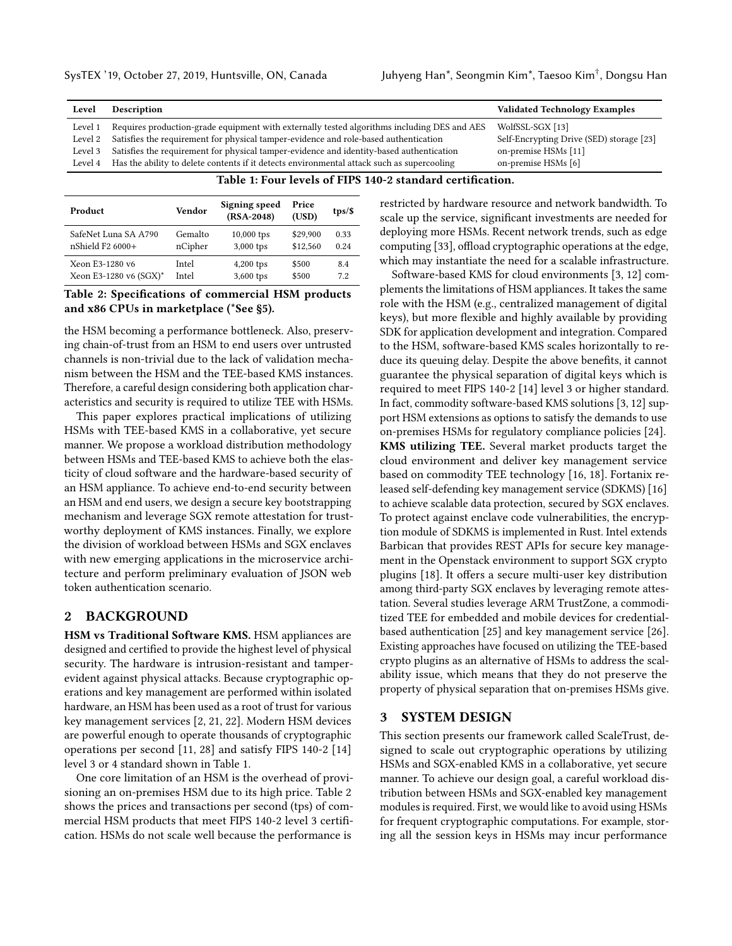<span id="page-1-0"></span>

| Level   | Description                                                                                 | <b>Validated Technology Examples</b>     |
|---------|---------------------------------------------------------------------------------------------|------------------------------------------|
| Level 1 | Requires production-grade equipment with externally tested algorithms including DES and AES | WolfSSL-SGX [13]                         |
| Level 2 | Satisfies the requirement for physical tamper-evidence and role-based authentication        | Self-Encrypting Drive (SED) storage [23] |
| Level 3 | Satisfies the requirement for physical tamper-evidence and identity-based authentication    | on-premise HSMs [11]                     |
| Level 4 | Has the ability to delete contents if it detects environmental attack such as supercooling  | on-premise HSMs [6]                      |

<span id="page-1-1"></span>

| Product                | Vendor  | Signing speed<br>$(RSA-2048)$ | Price<br>(USD) | tps/S |
|------------------------|---------|-------------------------------|----------------|-------|
| SafeNet Luna SA A790   | Gemalto | $10,000$ tps                  | \$29,900       | 0.33  |
| nShield F2 6000+       | nCipher | 3,000 tps                     | \$12,560       | 0.24  |
| Xeon E3-1280 v6        | Intel   | $4,200$ tps                   | \$500          | 8.4   |
| Xeon E3-1280 v6 (SGX)* | Intel   | 3,600 tps                     | \$500          | 7.2   |

# Table 1: Four levels of FIPS 140-2 standard certification.

#### Table 2: Specifications of commercial HSM products and x86 CPUs in marketplace (\*See [§5\)](#page-4-0).

the HSM becoming a performance bottleneck. Also, preserving chain-of-trust from an HSM to end users over untrusted channels is non-trivial due to the lack of validation mechanism between the HSM and the TEE-based KMS instances. Therefore, a careful design considering both application characteristics and security is required to utilize TEE with HSMs.

This paper explores practical implications of utilizing HSMs with TEE-based KMS in a collaborative, yet secure manner. We propose a workload distribution methodology between HSMs and TEE-based KMS to achieve both the elasticity of cloud software and the hardware-based security of an HSM appliance. To achieve end-to-end security between an HSM and end users, we design a secure key bootstrapping mechanism and leverage SGX remote attestation for trustworthy deployment of KMS instances. Finally, we explore the division of workload between HSMs and SGX enclaves with new emerging applications in the microservice architecture and perform preliminary evaluation of JSON web token authentication scenario.

#### 2 BACKGROUND

HSM vs Traditional Software KMS. HSM appliances are designed and certified to provide the highest level of physical security. The hardware is intrusion-resistant and tamperevident against physical attacks. Because cryptographic operations and key management are performed within isolated hardware, an HSM has been used as a root of trust for various key management services [\[2,](#page-5-0) [21,](#page-5-2) [22\]](#page-5-1). Modern HSM devices are powerful enough to operate thousands of cryptographic operations per second [\[11,](#page-5-14) [28\]](#page-5-16) and satisfy FIPS 140-2 [\[14\]](#page-5-10) level 3 or 4 standard shown in [Table 1.](#page-1-0)

One core limitation of an HSM is the overhead of provisioning an on-premises HSM due to its high price. [Table 2](#page-1-1) shows the prices and transactions per second (tps) of commercial HSM products that meet FIPS 140-2 level 3 certification. HSMs do not scale well because the performance is

restricted by hardware resource and network bandwidth. To scale up the service, significant investments are needed for deploying more HSMs. Recent network trends, such as edge computing [\[33\]](#page-5-17), offload cryptographic operations at the edge, which may instantiate the need for a scalable infrastructure.

Software-based KMS for cloud environments [\[3,](#page-5-18) [12\]](#page-5-19) complements the limitations of HSM appliances. It takes the same role with the HSM (e.g., centralized management of digital keys), but more flexible and highly available by providing SDK for application development and integration. Compared to the HSM, software-based KMS scales horizontally to reduce its queuing delay. Despite the above benefits, it cannot guarantee the physical separation of digital keys which is required to meet FIPS 140-2 [\[14\]](#page-5-10) level 3 or higher standard. In fact, commodity software-based KMS solutions [\[3,](#page-5-18) [12\]](#page-5-19) support HSM extensions as options to satisfy the demands to use on-premises HSMs for regulatory compliance policies [\[24\]](#page-5-9). KMS utilizing TEE. Several market products target the cloud environment and deliver key management service based on commodity TEE technology [\[16,](#page-5-5) [18\]](#page-5-6). Fortanix released self-defending key management service (SDKMS) [\[16\]](#page-5-5) to achieve scalable data protection, secured by SGX enclaves. To protect against enclave code vulnerabilities, the encryption module of SDKMS is implemented in Rust. Intel extends Barbican that provides REST APIs for secure key management in the Openstack environment to support SGX crypto plugins [\[18\]](#page-5-6). It offers a secure multi-user key distribution among third-party SGX enclaves by leveraging remote attestation. Several studies leverage ARM TrustZone, a commoditized TEE for embedded and mobile devices for credentialbased authentication [\[25\]](#page-5-20) and key management service [\[26\]](#page-5-21). Existing approaches have focused on utilizing the TEE-based crypto plugins as an alternative of HSMs to address the scalability issue, which means that they do not preserve the property of physical separation that on-premises HSMs give.

#### 3 SYSTEM DESIGN

This section presents our framework called ScaleTrust, designed to scale out cryptographic operations by utilizing HSMs and SGX-enabled KMS in a collaborative, yet secure manner. To achieve our design goal, a careful workload distribution between HSMs and SGX-enabled key management modules is required. First, we would like to avoid using HSMs for frequent cryptographic computations. For example, storing all the session keys in HSMs may incur performance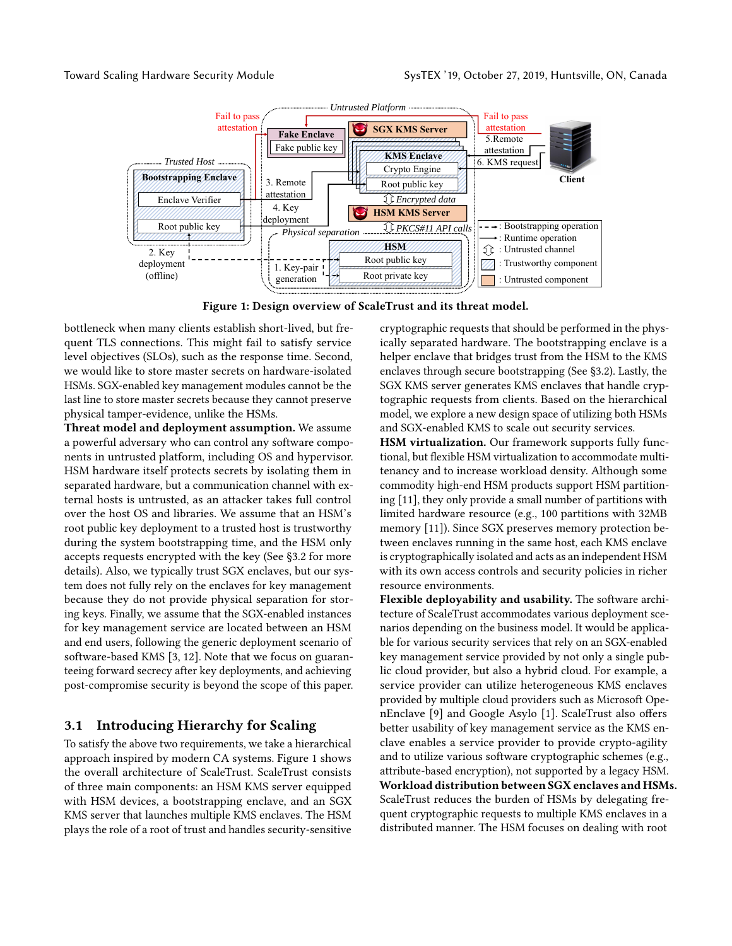<span id="page-2-0"></span>

Figure 1: Design overview of ScaleTrust and its threat model.

bottleneck when many clients establish short-lived, but frequent TLS connections. This might fail to satisfy service level objectives (SLOs), such as the response time. Second, we would like to store master secrets on hardware-isolated HSMs. SGX-enabled key management modules cannot be the last line to store master secrets because they cannot preserve physical tamper-evidence, unlike the HSMs.

Threat model and deployment assumption. We assume a powerful adversary who can control any software components in untrusted platform, including OS and hypervisor. HSM hardware itself protects secrets by isolating them in separated hardware, but a communication channel with external hosts is untrusted, as an attacker takes full control over the host OS and libraries. We assume that an HSM's root public key deployment to a trusted host is trustworthy during the system bootstrapping time, and the HSM only accepts requests encrypted with the key (See [§3.2](#page-3-0) for more details). Also, we typically trust SGX enclaves, but our system does not fully rely on the enclaves for key management because they do not provide physical separation for storing keys. Finally, we assume that the SGX-enabled instances for key management service are located between an HSM and end users, following the generic deployment scenario of software-based KMS [\[3,](#page-5-18) [12\]](#page-5-19). Note that we focus on guaranteeing forward secrecy after key deployments, and achieving post-compromise security is beyond the scope of this paper.

#### 3.1 Introducing Hierarchy for Scaling

To satisfy the above two requirements, we take a hierarchical approach inspired by modern CA systems. [Figure 1](#page-2-0) shows the overall architecture of ScaleTrust. ScaleTrust consists of three main components: an HSM KMS server equipped with HSM devices, a bootstrapping enclave, and an SGX KMS server that launches multiple KMS enclaves. The HSM plays the role of a root of trust and handles security-sensitive

cryptographic requests that should be performed in the physically separated hardware. The bootstrapping enclave is a helper enclave that bridges trust from the HSM to the KMS enclaves through secure bootstrapping (See [§3.2\)](#page-3-0). Lastly, the SGX KMS server generates KMS enclaves that handle cryptographic requests from clients. Based on the hierarchical model, we explore a new design space of utilizing both HSMs and SGX-enabled KMS to scale out security services.

HSM virtualization. Our framework supports fully functional, but flexible HSM virtualization to accommodate multitenancy and to increase workload density. Although some commodity high-end HSM products support HSM partitioning [\[11\]](#page-5-14), they only provide a small number of partitions with limited hardware resource (e.g., 100 partitions with 32MB memory [\[11\]](#page-5-14)). Since SGX preserves memory protection between enclaves running in the same host, each KMS enclave is cryptographically isolated and acts as an independent HSM with its own access controls and security policies in richer resource environments.

Flexible deployability and usability. The software architecture of ScaleTrust accommodates various deployment scenarios depending on the business model. It would be applicable for various security services that rely on an SGX-enabled key management service provided by not only a single public cloud provider, but also a hybrid cloud. For example, a service provider can utilize heterogeneous KMS enclaves provided by multiple cloud providers such as Microsoft OpenEnclave [\[9\]](#page-5-22) and Google Asylo [\[1\]](#page-5-23). ScaleTrust also offers better usability of key management service as the KMS enclave enables a service provider to provide crypto-agility and to utilize various software cryptographic schemes (e.g., attribute-based encryption), not supported by a legacy HSM. Workload distribution between SGX enclaves and HSMs. ScaleTrust reduces the burden of HSMs by delegating frequent cryptographic requests to multiple KMS enclaves in a distributed manner. The HSM focuses on dealing with root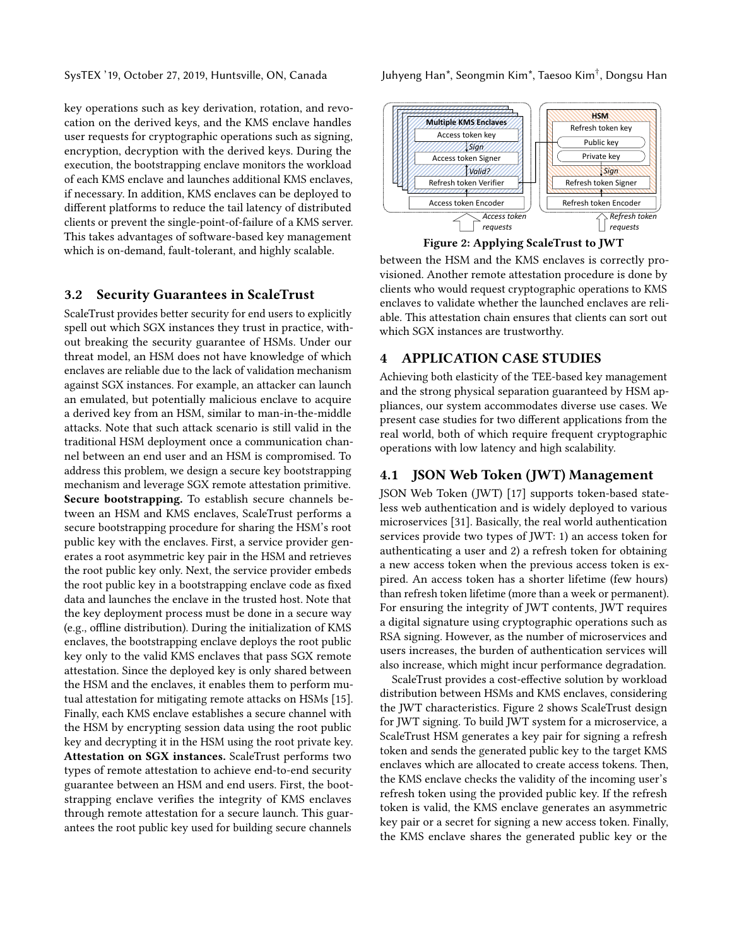SysTEX '19, October 27, 2019, Huntsville, ON, Canada

key operations such as key derivation, rotation, and revocation on the derived keys, and the KMS enclave handles user requests for cryptographic operations such as signing, encryption, decryption with the derived keys. During the execution, the bootstrapping enclave monitors the workload of each KMS enclave and launches additional KMS enclaves, if necessary. In addition, KMS enclaves can be deployed to different platforms to reduce the tail latency of distributed clients or prevent the single-point-of-failure of a KMS server. This takes advantages of software-based key management which is on-demand, fault-tolerant, and highly scalable.

### <span id="page-3-0"></span>3.2 Security Guarantees in ScaleTrust

ScaleTrust provides better security for end users to explicitly spell out which SGX instances they trust in practice, without breaking the security guarantee of HSMs. Under our threat model, an HSM does not have knowledge of which enclaves are reliable due to the lack of validation mechanism against SGX instances. For example, an attacker can launch an emulated, but potentially malicious enclave to acquire a derived key from an HSM, similar to man-in-the-middle attacks. Note that such attack scenario is still valid in the traditional HSM deployment once a communication channel between an end user and an HSM is compromised. To address this problem, we design a secure key bootstrapping mechanism and leverage SGX remote attestation primitive. Secure bootstrapping. To establish secure channels between an HSM and KMS enclaves, ScaleTrust performs a secure bootstrapping procedure for sharing the HSM's root public key with the enclaves. First, a service provider generates a root asymmetric key pair in the HSM and retrieves the root public key only. Next, the service provider embeds the root public key in a bootstrapping enclave code as fixed data and launches the enclave in the trusted host. Note that the key deployment process must be done in a secure way (e.g., offline distribution). During the initialization of KMS enclaves, the bootstrapping enclave deploys the root public key only to the valid KMS enclaves that pass SGX remote attestation. Since the deployed key is only shared between the HSM and the enclaves, it enables them to perform mutual attestation for mitigating remote attacks on HSMs [\[15\]](#page-5-24). Finally, each KMS enclave establishes a secure channel with the HSM by encrypting session data using the root public key and decrypting it in the HSM using the root private key. Attestation on SGX instances. ScaleTrust performs two types of remote attestation to achieve end-to-end security guarantee between an HSM and end users. First, the bootstrapping enclave verifies the integrity of KMS enclaves through remote attestation for a secure launch. This guarantees the root public key used for building secure channels

Juhyeng Han\*, Seongmin Kim\*, Taesoo Kim<sup>†</sup>, Dongsu Han

<span id="page-3-1"></span>



between the HSM and the KMS enclaves is correctly provisioned. Another remote attestation procedure is done by clients who would request cryptographic operations to KMS enclaves to validate whether the launched enclaves are reliable. This attestation chain ensures that clients can sort out which SGX instances are trustworthy.

#### 4 APPLICATION CASE STUDIES

Achieving both elasticity of the TEE-based key management and the strong physical separation guaranteed by HSM appliances, our system accommodates diverse use cases. We present case studies for two different applications from the real world, both of which require frequent cryptographic operations with low latency and high scalability.

### <span id="page-3-2"></span>4.1 JSON Web Token (JWT) Management

JSON Web Token (JWT) [\[17\]](#page-5-25) supports token-based stateless web authentication and is widely deployed to various microservices [\[31\]](#page-5-26). Basically, the real world authentication services provide two types of JWT: 1) an access token for authenticating a user and 2) a refresh token for obtaining a new access token when the previous access token is expired. An access token has a shorter lifetime (few hours) than refresh token lifetime (more than a week or permanent). For ensuring the integrity of JWT contents, JWT requires a digital signature using cryptographic operations such as RSA signing. However, as the number of microservices and users increases, the burden of authentication services will also increase, which might incur performance degradation.

ScaleTrust provides a cost-effective solution by workload distribution between HSMs and KMS enclaves, considering the JWT characteristics. [Figure 2](#page-3-1) shows ScaleTrust design for JWT signing. To build JWT system for a microservice, a ScaleTrust HSM generates a key pair for signing a refresh token and sends the generated public key to the target KMS enclaves which are allocated to create access tokens. Then, the KMS enclave checks the validity of the incoming user's refresh token using the provided public key. If the refresh token is valid, the KMS enclave generates an asymmetric key pair or a secret for signing a new access token. Finally, the KMS enclave shares the generated public key or the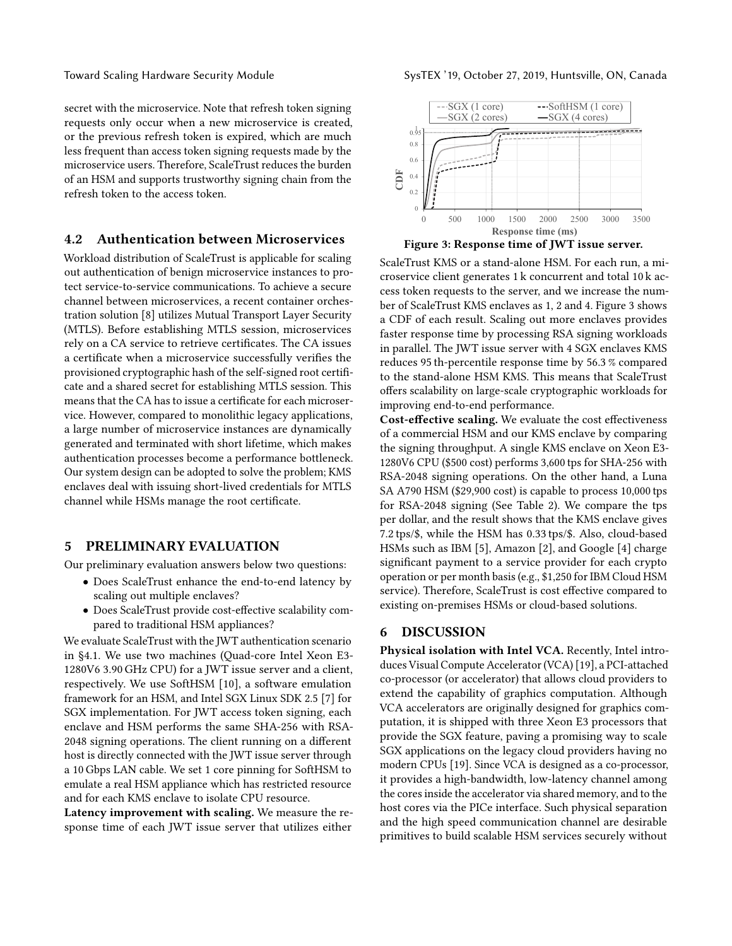secret with the microservice. Note that refresh token signing requests only occur when a new microservice is created, or the previous refresh token is expired, which are much less frequent than access token signing requests made by the microservice users. Therefore, ScaleTrust reduces the burden of an HSM and supports trustworthy signing chain from the refresh token to the access token.

#### 4.2 Authentication between Microservices

Workload distribution of ScaleTrust is applicable for scaling out authentication of benign microservice instances to protect service-to-service communications. To achieve a secure channel between microservices, a recent container orchestration solution [\[8\]](#page-5-27) utilizes Mutual Transport Layer Security (MTLS). Before establishing MTLS session, microservices rely on a CA service to retrieve certificates. The CA issues a certificate when a microservice successfully verifies the provisioned cryptographic hash of the self-signed root certificate and a shared secret for establishing MTLS session. This means that the CA has to issue a certificate for each microservice. However, compared to monolithic legacy applications, a large number of microservice instances are dynamically generated and terminated with short lifetime, which makes authentication processes become a performance bottleneck. Our system design can be adopted to solve the problem; KMS enclaves deal with issuing short-lived credentials for MTLS channel while HSMs manage the root certificate.

# <span id="page-4-0"></span>5 PRELIMINARY EVALUATION

Our preliminary evaluation answers below two questions:

- Does ScaleTrust enhance the end-to-end latency by scaling out multiple enclaves?
- Does ScaleTrust provide cost-effective scalability compared to traditional HSM appliances?

We evaluate ScaleTrust with the JWT authentication scenario in [§4.1.](#page-3-2) We use two machines (Quad-core Intel Xeon E3- 1280V6 3.90 GHz CPU) for a JWT issue server and a client, respectively. We use SoftHSM [\[10\]](#page-5-28), a software emulation framework for an HSM, and Intel SGX Linux SDK 2.5 [\[7\]](#page-5-29) for SGX implementation. For JWT access token signing, each enclave and HSM performs the same SHA-256 with RSA-2048 signing operations. The client running on a different host is directly connected with the JWT issue server through a 10 Gbps LAN cable. We set 1 core pinning for SoftHSM to emulate a real HSM appliance which has restricted resource and for each KMS enclave to isolate CPU resource.

Latency improvement with scaling. We measure the response time of each JWT issue server that utilizes either

<span id="page-4-1"></span>

Figure 3: Response time of JWT issue server.

ScaleTrust KMS or a stand-alone HSM. For each run, a microservice client generates 1 k concurrent and total 10 k access token requests to the server, and we increase the number of ScaleTrust KMS enclaves as 1, 2 and 4. [Figure 3](#page-4-1) shows a CDF of each result. Scaling out more enclaves provides faster response time by processing RSA signing workloads in parallel. The JWT issue server with 4 SGX enclaves KMS reduces 95 th-percentile response time by 56.3 % compared to the stand-alone HSM KMS. This means that ScaleTrust offers scalability on large-scale cryptographic workloads for improving end-to-end performance.

Cost-effective scaling. We evaluate the cost effectiveness of a commercial HSM and our KMS enclave by comparing the signing throughput. A single KMS enclave on Xeon E3- 1280V6 CPU (\$500 cost) performs 3,600 tps for SHA-256 with RSA-2048 signing operations. On the other hand, a Luna SA A790 HSM (\$29,900 cost) is capable to process 10,000 tps for RSA-2048 signing (See [Table 2\)](#page-1-1). We compare the tps per dollar, and the result shows that the KMS enclave gives 7.2 tps/\$, while the HSM has 0.33 tps/\$. Also, cloud-based HSMs such as IBM [\[5\]](#page-5-7), Amazon [\[2\]](#page-5-0), and Google [\[4\]](#page-5-30) charge significant payment to a service provider for each crypto operation or per month basis (e.g., \$1,250 for IBM Cloud HSM service). Therefore, ScaleTrust is cost effective compared to existing on-premises HSMs or cloud-based solutions.

#### 6 DISCUSSION

Physical isolation with Intel VCA. Recently, Intel introduces Visual Compute Accelerator (VCA) [\[19\]](#page-5-31), a PCI-attached co-processor (or accelerator) that allows cloud providers to extend the capability of graphics computation. Although VCA accelerators are originally designed for graphics computation, it is shipped with three Xeon E3 processors that provide the SGX feature, paving a promising way to scale SGX applications on the legacy cloud providers having no modern CPUs [\[19\]](#page-5-31). Since VCA is designed as a co-processor, it provides a high-bandwidth, low-latency channel among the cores inside the accelerator via shared memory, and to the host cores via the PICe interface. Such physical separation and the high speed communication channel are desirable primitives to build scalable HSM services securely without